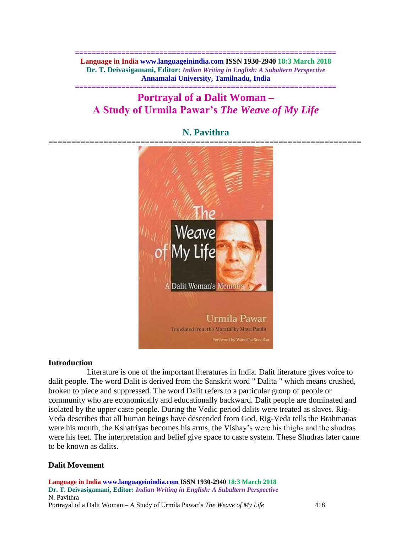**============================================================== Language in India www.languageinindia.com ISSN 1930-2940 18:3 March 2018 Dr. T. Deivasigamani, Editor:** *Indian Writing in English: A Subaltern Perspective* **Annamalai University, Tamilnadu, India**

# **============================================================== Portrayal of a Dalit Woman – A Study of Urmila Pawar's** *The Weave of My Life*

# **N. Pavithra**



#### **Introduction**

 Literature is one of the important literatures in India. Dalit literature gives voice to dalit people. The word Dalit is derived from the Sanskrit word " Dalita " which means crushed, broken to piece and suppressed. The word Dalit refers to a particular group of people or community who are economically and educationally backward. Dalit people are dominated and isolated by the upper caste people. During the Vedic period dalits were treated as slaves. Rig-Veda describes that all human beings have descended from God. Rig-Veda tells the Brahmanas were his mouth, the Kshatriyas becomes his arms, the Vishay's were his thighs and the shudras were his feet. The interpretation and belief give space to caste system. These Shudras later came to be known as dalits.

# **Dalit Movement**

**Language in India www.languageinindia.com ISSN 1930-2940 18:3 March 2018 Dr. T. Deivasigamani, Editor:** *Indian Writing in English: A Subaltern Perspective* N. Pavithra Portrayal of a Dalit Woman – A Study of Urmila Pawar's *The Weave of My Life* 418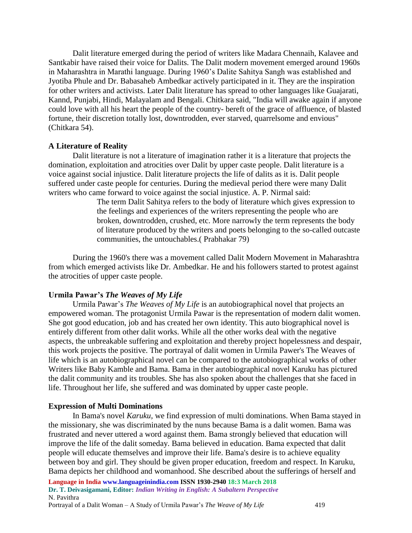Dalit literature emerged during the period of writers like Madara Chennaih, Kalavee and Santkabir have raised their voice for Dalits. The Dalit modern movement emerged around 1960s in Maharashtra in Marathi language. During 1960's Dalite Sahitya Sangh was established and Jyotiba Phule and Dr. Babasaheb Ambedkar actively participated in it. They are the inspiration for other writers and activists. Later Dalit literature has spread to other languages like Guajarati, Kannd, Punjabi, Hindi, Malayalam and Bengali. Chitkara said, "India will awake again if anyone could love with all his heart the people of the country- bereft of the grace of affluence, of blasted fortune, their discretion totally lost, downtrodden, ever starved, quarrelsome and envious" (Chitkara 54).

### **A Literature of Reality**

Dalit literature is not a literature of imagination rather it is a literature that projects the domination, exploitation and atrocities over Dalit by upper caste people. Dalit literature is a voice against social injustice. Dalit literature projects the life of dalits as it is. Dalit people suffered under caste people for centuries. During the medieval period there were many Dalit writers who came forward to voice against the social injustice. A. P. Nirmal said:

> The term Dalit Sahitya refers to the body of literature which gives expression to the feelings and experiences of the writers representing the people who are broken, downtrodden, crushed, etc. More narrowly the term represents the body of literature produced by the writers and poets belonging to the so-called outcaste communities, the untouchables.( Prabhakar 79)

During the 1960's there was a movement called Dalit Modern Movement in Maharashtra from which emerged activists like Dr. Ambedkar. He and his followers started to protest against the atrocities of upper caste people.

# **Urmila Pawar's** *The Weaves of My Life*

Urmila Pawar's *The Weaves of My Life* is an autobiographical novel that projects an empowered woman. The protagonist Urmila Pawar is the representation of modern dalit women. She got good education, job and has created her own identity. This auto biographical novel is entirely different from other dalit works. While all the other works deal with the negative aspects, the unbreakable suffering and exploitation and thereby project hopelessness and despair, this work projects the positive. The portrayal of dalit women in Urmila Pawer's The Weaves of life which is an autobiographical novel can be compared to the autobiographical works of other Writers like Baby Kamble and Bama. Bama in ther autobiographical novel Karuku has pictured the dalit community and its troubles. She has also spoken about the challenges that she faced in life. Throughout her life, she suffered and was dominated by upper caste people.

#### **Expression of Multi Dominations**

In Bama's novel *Karuku,* we find expression of multi dominations. When Bama stayed in the missionary, she was discriminated by the nuns because Bama is a dalit women. Bama was frustrated and never uttered a word against them. Bama strongly believed that education will improve the life of the dalit someday. Bama believed in education. Bama expected that dalit people will educate themselves and improve their life. Bama's desire is to achieve equality between boy and girl. They should be given proper education, freedom and respect. In Karuku, Bama depicts her childhood and womanhood. She described about the sufferings of herself and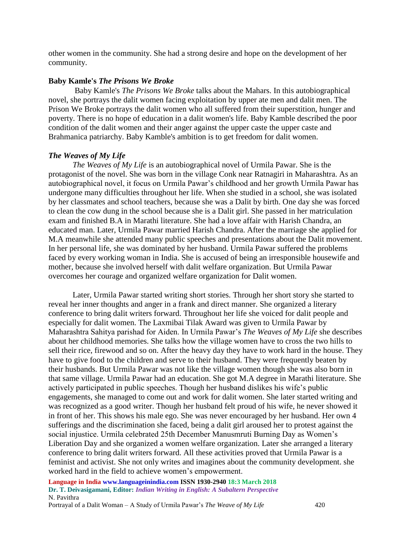other women in the community. She had a strong desire and hope on the development of her community.

# **Baby Kamle's** *The Prisons We Broke*

Baby Kamle's *The Prisons We Broke* talks about the Mahars. In this autobiographical novel, she portrays the dalit women facing exploitation by upper ate men and dalit men. The Prison We Broke portrays the dalit women who all suffered from their superstition, hunger and poverty. There is no hope of education in a dalit women's life. Baby Kamble described the poor condition of the dalit women and their anger against the upper caste the upper caste and Brahmanica patriarchy. Baby Kamble's ambition is to get freedom for dalit women.

## *The Weaves of My Life*

*The Weaves of My Life* is an autobiographical novel of Urmila Pawar. She is the protagonist of the novel. She was born in the village Conk near Ratnagiri in Maharashtra. As an autobiographical novel, it focus on Urmila Pawar's childhood and her growth Urmila Pawar has undergone many difficulties throughout her life. When she studied in a school, she was isolated by her classmates and school teachers, because she was a Dalit by birth. One day she was forced to clean the cow dung in the school because she is a Dalit girl. She passed in her matriculation exam and finished B.A in Marathi literature. She had a love affair with Harish Chandra, an educated man. Later, Urmila Pawar married Harish Chandra. After the marriage she applied for M.A meanwhile she attended many public speeches and presentations about the Dalit movement. In her personal life, she was dominated by her husband. Urmila Pawar suffered the problems faced by every working woman in India. She is accused of being an irresponsible housewife and mother, because she involved herself with dalit welfare organization. But Urmila Pawar overcomes her courage and organized welfare organization for Dalit women.

Later, Urmila Pawar started writing short stories. Through her short story she started to reveal her inner thoughts and anger in a frank and direct manner. She organized a literary conference to bring dalit writers forward. Throughout her life she voiced for dalit people and especially for dalit women. The Laxmibai Tilak Award was given to Urmila Pawar by Maharashtra Sahitya parishad for Aiden. In Urmila Pawar's *The Weaves of My Life* she describes about her childhood memories. She talks how the village women have to cross the two hills to sell their rice, firewood and so on. After the heavy day they have to work hard in the house. They have to give food to the children and serve to their husband. They were frequently beaten by their husbands. But Urmila Pawar was not like the village women though she was also born in that same village. Urmila Pawar had an education. She got M.A degree in Marathi literature. She actively participated in public speeches. Though her husband dislikes his wife's public engagements, she managed to come out and work for dalit women. She later started writing and was recognized as a good writer. Though her husband felt proud of his wife, he never showed it in front of her. This shows his male ego. She was never encouraged by her husband. Her own 4 sufferings and the discrimination she faced, being a dalit girl aroused her to protest against the social injustice. Urmila celebrated 25th December Manusmruti Burning Day as Women's Liberation Day and she organized a women welfare organization. Later she arranged a literary conference to bring dalit writers forward. All these activities proved that Urmila Pawar is a feminist and activist. She not only writes and imagines about the community development. she worked hard in the field to achieve women's empowerment.

**Language in India www.languageinindia.com ISSN 1930-2940 18:3 March 2018 Dr. T. Deivasigamani, Editor:** *Indian Writing in English: A Subaltern Perspective* N. Pavithra